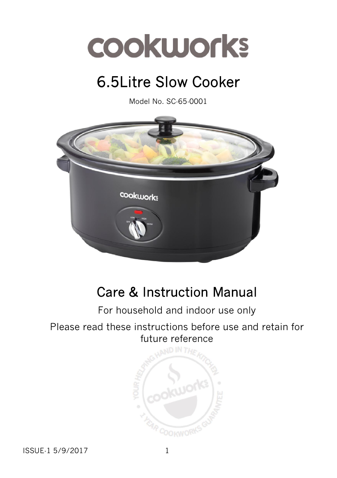

# 6.5Litre Slow Cooker

Model No. SC-65-0001



# Care & Instruction Manual

## For household and indoor use only

#### Please read these instructions before use and retain for future reference

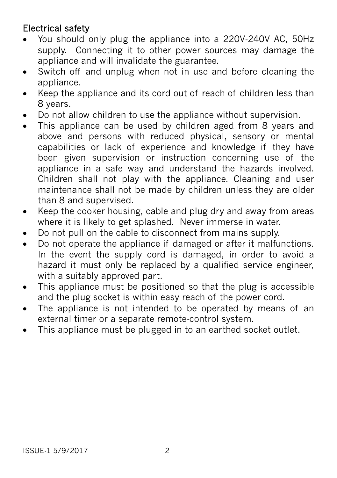### Electrical safety

- You should only plug the appliance into a 220V‐240V AC, 50Hz supply. Connecting it to other power sources may damage the appliance and will invalidate the guarantee.
- Switch off and unplug when not in use and before cleaning the appliance.
- Keep the appliance and its cord out of reach of children less than 8 years.
- Do not allow children to use the appliance without supervision.
- This appliance can be used by children aged from 8 years and above and persons with reduced physical, sensory or mental capabilities or lack of experience and knowledge if they have been given supervision or instruction concerning use of the appliance in a safe way and understand the hazards involved. Children shall not play with the appliance. Cleaning and user maintenance shall not be made by children unless they are older than 8 and supervised.
- Keep the cooker housing, cable and plug dry and away from areas where it is likely to get splashed. Never immerse in water.
- Do not pull on the cable to disconnect from mains supply.
- Do not operate the appliance if damaged or after it malfunctions. In the event the supply cord is damaged, in order to avoid a hazard it must only be replaced by a qualified service engineer, with a suitably approved part.
- This appliance must be positioned so that the plug is accessible and the plug socket is within easy reach of the power cord.
- The appliance is not intended to be operated by means of an external timer or a separate remote-control system.
- This appliance must be plugged in to an earthed socket outlet.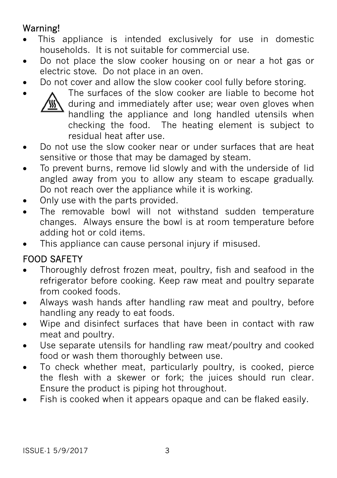# Warning!

- This appliance is intended exclusively for use in domestic households. It is not suitable for commercial use.
- Do not place the slow cooker housing on or near a hot gas or electric stove. Do not place in an oven.
- Do not cover and allow the slow cooker cool fully before storing.



• A The surfaces of the slow cooker are liable to become hot during and immediately after use; wear oven gloves when handling the appliance and long handled utensils when checking the food. The heating element is subject to residual heat after use.

- Do not use the slow cooker near or under surfaces that are heat sensitive or those that may be damaged by steam.
- To prevent burns, remove lid slowly and with the underside of lid angled away from you to allow any steam to escape gradually. Do not reach over the appliance while it is working.
- Only use with the parts provided.
- The removable bowl will not withstand sudden temperature changes. Always ensure the bowl is at room temperature before adding hot or cold items.
- This appliance can cause personal injury if misused.

## FOOD SAFETY

- Thoroughly defrost frozen meat, poultry, fish and seafood in the refrigerator before cooking. Keep raw meat and poultry separate from cooked foods.
- Always wash hands after handling raw meat and poultry, before handling any ready to eat foods.
- Wipe and disinfect surfaces that have been in contact with raw meat and poultry.
- Use separate utensils for handling raw meat/poultry and cooked food or wash them thoroughly between use.
- To check whether meat, particularly poultry, is cooked, pierce the flesh with a skewer or fork; the juices should run clear. Ensure the product is piping hot throughout.
- Fish is cooked when it appears opaque and can be flaked easily.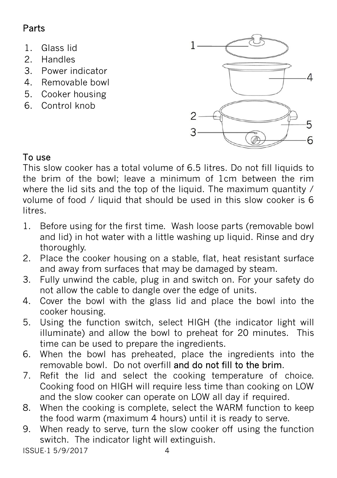# Parts

- 1. Glass lid
- 2. Handles
- 3. Power indicator
- 4. Removable bowl
- 5. Cooker housing
- 6. Control knob



This slow cooker has a total volume of 6.5 litres. Do not fill liquids to the brim of the bowl; leave a minimum of 1cm between the rim where the lid sits and the top of the liquid. The maximum quantity / volume of food / liquid that should be used in this slow cooker is 6 litres.

- 1. Before using for the first time. Wash loose parts (removable bowl and lid) in hot water with a little washing up liquid. Rinse and dry thoroughly.
- 2. Place the cooker housing on a stable, flat, heat resistant surface and away from surfaces that may be damaged by steam.
- 3. Fully unwind the cable, plug in and switch on. For your safety do not allow the cable to dangle over the edge of units.
- 4. Cover the bowl with the glass lid and place the bowl into the cooker housing.
- 5. Using the function switch, select HIGH (the indicator light will illuminate) and allow the bowl to preheat for 20 minutes. This time can be used to prepare the ingredients.
- 6. When the bowl has preheated, place the ingredients into the removable bowl. Do not overfill and do not fill to the brim.
- 7. Refit the lid and select the cooking temperature of choice. Cooking food on HIGH will require less time than cooking on LOW and the slow cooker can operate on LOW all day if required.
- 8. When the cooking is complete, select the WARM function to keep the food warm (maximum 4 hours) until it is ready to serve.
- 9. When ready to serve, turn the slow cooker off using the function switch. The indicator light will extinguish.

ISSUE-1 5/9/2017 4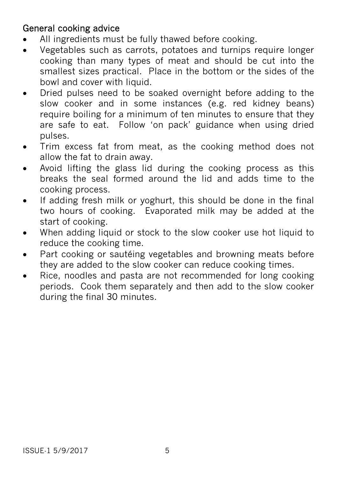#### General cooking advice

- All ingredients must be fully thawed before cooking.
- Vegetables such as carrots, potatoes and turnips require longer cooking than many types of meat and should be cut into the smallest sizes practical. Place in the bottom or the sides of the bowl and cover with liquid.
- Dried pulses need to be soaked overnight before adding to the slow cooker and in some instances (e.g. red kidney beans) require boiling for a minimum of ten minutes to ensure that they are safe to eat. Follow 'on pack' guidance when using dried pulses.
- Trim excess fat from meat, as the cooking method does not allow the fat to drain away.
- Avoid lifting the glass lid during the cooking process as this breaks the seal formed around the lid and adds time to the cooking process.
- If adding fresh milk or yoghurt, this should be done in the final two hours of cooking. Evaporated milk may be added at the start of cooking.
- When adding liquid or stock to the slow cooker use hot liquid to reduce the cooking time.
- Part cooking or sautéing vegetables and browning meats before they are added to the slow cooker can reduce cooking times.
- Rice, noodles and pasta are not recommended for long cooking periods. Cook them separately and then add to the slow cooker during the final 30 minutes.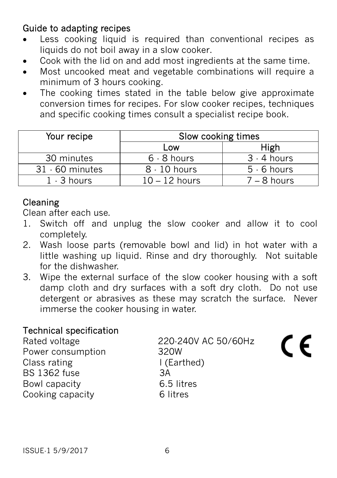#### Guide to adapting recipes

- Less cooking liquid is required than conventional recipes as liquids do not boil away in a slow cooker.
- Cook with the lid on and add most ingredients at the same time.
- Most uncooked meat and vegetable combinations will require a minimum of 3 hours cooking.
- The cooking times stated in the table below give approximate conversion times for recipes. For slow cooker recipes, techniques and specific cooking times consult a specialist recipe book.

| Your recipe       | Slow cooking times |               |
|-------------------|--------------------|---------------|
|                   | Low                | High          |
| 30 minutes        | $6 - 8$ hours      | $3 - 4$ hours |
| $31 - 60$ minutes | $8 - 10$ hours     | $5 - 6$ hours |
| $1 - 3$ hours     | $10 - 12$ hours    | $7 - 8$ hours |

### Cleaning

Clean after each use.

- 1. Switch off and unplug the slow cooker and allow it to cool completely.
- 2. Wash loose parts (removable bowl and lid) in hot water with a little washing up liquid. Rinse and dry thoroughly. Not suitable for the dishwasher.
- 3. Wipe the external surface of the slow cooker housing with a soft damp cloth and dry surfaces with a soft dry cloth. Do not use detergent or abrasives as these may scratch the surface. Never immerse the cooker housing in water.

#### Technical specification

Power consumption 320W Class rating The I (Earthed) BS 1362 fuse 3A Bowl capacity 6.5 litres Cooking capacity 6 litres

Rated voltage 220-240V AC 50/60Hz

C E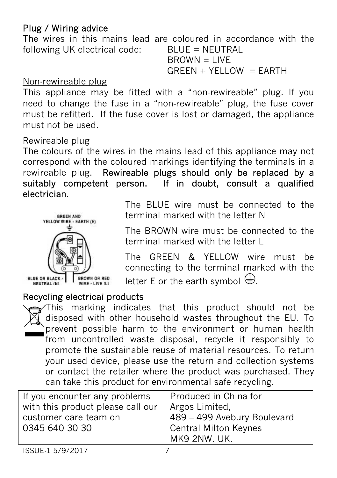#### Plug / Wiring advice

The wires in this mains lead are coloured in accordance with the following UK electrical code: BLUE = NEUTRAL  $B$ R $OWN = I$  IVF

 $GREEN + YELLOW = EARTH$ 

#### Non-rewireable plug

This appliance may be fitted with a "non-rewireable" plug. If you need to change the fuse in a "non‐rewireable" plug, the fuse cover must be refitted. If the fuse cover is lost or damaged, the appliance must not be used.

#### Rewireable plug

The colours of the wires in the mains lead of this appliance may not correspond with the coloured markings identifying the terminals in a rewireable plug. Rewireable plugs should only be replaced by a suitably competent person. If in doubt, consult a qualified electrician.



The BLUE wire must be connected to the terminal marked with the letter N

The BROWN wire must be connected to the terminal marked with the letter L

The GREEN & YELLOW wire must be connecting to the terminal marked with the letter E or the earth symbol  $\bigoplus$ .

#### Recycling electrical products

This marking indicates that this product should not be disposed with other household wastes throughout the EU. To prevent possible harm to the environment or human health from uncontrolled waste disposal, recycle it responsibly to promote the sustainable reuse of material resources. To return your used device, please use the return and collection systems or contact the retailer where the product was purchased. They can take this product for environmental safe recycling.

| If you encounter any problems     | Produced in China for        |  |
|-----------------------------------|------------------------------|--|
| with this product please call our | Argos Limited,               |  |
| customer care team on             | 489 - 499 Avebury Boulevard  |  |
| 0345 640 30 30                    | <b>Central Milton Keynes</b> |  |
|                                   | MK9 2NW. UK.                 |  |